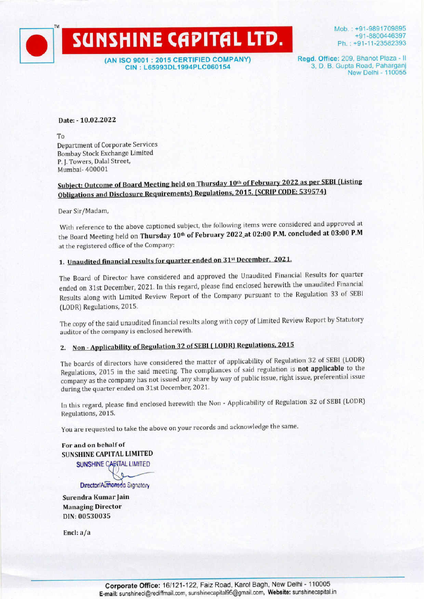(AN ISO 9001 : 2015 CERTIFIED COMPANY) CIN : L65993DL1994PLC060154

SUNSHINE CAPITAL LTD.

Mob. : +91-9891709895 +91-8800446397 Ph. : +91-11-23582393

Regd. Office: 209, Bhanot Plaza - II 3, D. B. Gupta Road, Paharganj New Delhi - 110055

### Date: - 10.02.2022

To

™

Department of Corporate Services Bombay Stock Exchange Limited P. J. Towers, Dalal Street, Mumbai- 400001

## Subject: Outcome of Board Meeting held on Thursday 10" of February 2022 as per SEBI (Listing Obligations and Disclosure Requirements) Regulations, 2015. (SCRIP CODE: 539574)

Dear Sir/Madam,

With reference to the above captioned subject, the following items were considered and approved at the Board Meeting held on Thursday 10<sup>th</sup> of February 2022 at 02:00 P.M. concluded at 03:00 P.M at the registered office of the Company:

# 1. Unaudited financial results for quarter ended on 31<sup>st</sup> December, 2021.

The Board of Director have considered and approved the Unaudited Financial Results for quarter ended on 31st December, 2021. In this regard, please find enclosed herewith the unaudited Financial Results along with Limited Review Report of the Company pursuant to the Regulation 33 of SEBI (LODR) Regulations, 2015. Dear sir positionality<br>
With reference to the above captioned subject, the following items were considered and a<br>
the Board Meeting held on Thursday 10<sup>th</sup> of February 2022<sub>-2</sub>t 02:00 P.M. concluded at<br>
at the registered

The copy of the said unaudited financial results along with copy of Limited Review Report by Statutory auditor of the company is enclosed herewith.

# 2. Non- Applicability of Regulation 32 of SEBI (LODR) Regulations, <sup>2015</sup>

The boards of directors have considered the matter of applicability of Regulation 32 of SEBI (LODR) Regulations, 2015 in the said meeting. The compliances of said regulation is not applicable to the company as the company has not issued any share by way of public issue, right issue, preferential issue during the quarter ended on 31st December, 2021.

In this regard, please find enclosed herewith the Non - Applicability of Regulation 32 of SEBI (LODR) Regulations, 2015.

You are requested to take the above on your records and acknowledge the same.

For and on behalf of SUNSHINE CAPITAL LIMITED SUNSHINE CARITAL LIMITED Director/Authorised Signatory

Surendra Kumar Jain Managing Director DIN: 00530035

Encl: a/a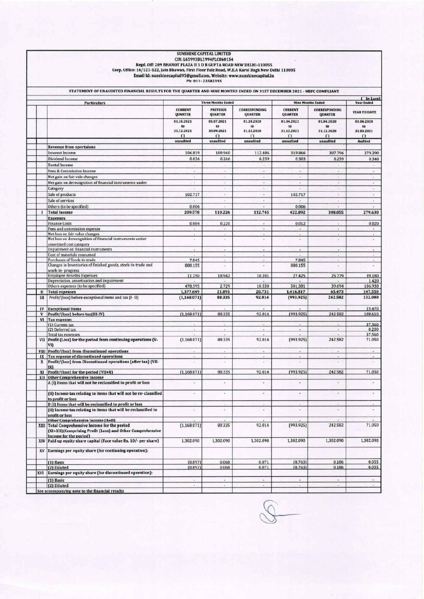| ST. 30 LAS<br>计重新开关 医尿道 化无限预先 医异丙基                                                                                                                                                                                               |                                                       |                                                       |                                                                   |
|----------------------------------------------------------------------------------------------------------------------------------------------------------------------------------------------------------------------------------|-------------------------------------------------------|-------------------------------------------------------|-------------------------------------------------------------------|
|                                                                                                                                                                                                                                  |                                                       |                                                       |                                                                   |
| <b>SUNSHINE CAPITAL LIMITED</b>                                                                                                                                                                                                  |                                                       |                                                       |                                                                   |
| CIN: L65993DL1994PLC060154<br>Regd. Off: 209 BHANOT PLAZA II 3 D B GUPTA ROAD NEW DELHI-110055<br>Corp. Office: 16/121-122, Jain Bhawan, First Floor Faiz Road, W.E.A Karol Bagh New Delhi 110005                                |                                                       |                                                       |                                                                   |
| Email Id: sunshinecapital95@gmail.com, Website: www.sunshinecapital.in<br>Ph: 011-23582393<br>STATEMENT OF UNAUDITED FINANCIAL RESULTS FOR THE QUARTER AND NINE MONTHS ENDED ON 31ST DECEMBER 2021 - NBFC COMPLIANT              |                                                       |                                                       |                                                                   |
| <b>Three Months Ended</b><br><b>Particulars</b><br><b>CURRENT</b><br><b>PREVIOUS</b><br><b>CORRESPONDING</b>                                                                                                                     | <b>Nine Months Ended</b><br><b>CURRENT</b>            | <b>CORRESPONDING</b>                                  | [ In Lacs]<br><b>Year Ended</b>                                   |
| QUARTER<br>QUARTER<br>QUARTER<br>01.10.2021<br>01.07.2021<br>01.10.2020<br>to.<br>to<br>to<br>31.12.2021<br>30.09.2021<br>31.12.2020<br>$\Omega$<br>$\Omega$<br>$\Omega$                                                         | QUARTER<br>01.04.2021<br>to<br>31.12.2021<br>$\Omega$ | QUARTER<br>01.04.2020<br>to<br>31.12.2020<br>$\Omega$ | <b>YEAR TO DATE</b><br>01.04.2020<br>to<br>31.03.2021<br>$\Omega$ |
| unaudited<br>unaudited<br>unaudited<br><b>Revenue from opertaions</b><br>106.819<br>109.960<br>112.486<br>Interest Income                                                                                                        | unaudited<br>319.866                                  | unaudited<br>307.796                                  | <b>Audited</b><br>279.290                                         |
| 0.036<br>0.259<br>0.266<br>Dividend Income<br>Rental Income<br>$\sim$<br>÷<br>÷<br>Fees & Commission Income<br>$\sim$<br>$\sim$<br>$\omega$                                                                                      | 0.303<br>٠<br>÷.                                      | 0.259<br>×<br>٠                                       | 0.340<br>$\alpha$<br>×                                            |
| Net gain on fair vale changes<br>$\sim$<br>×.<br>$\blacksquare$<br>Net gain on derecognition of financial instruments under<br>$\overline{\phantom{a}}$<br>$\star$<br>×<br>Category<br>$\sim$<br>$\alpha$                        | ٠<br>$\ddot{\phantom{0}}$<br>$\sim$                   | u<br>$\sim$<br>٠                                      | $\omega$<br>$\sim$<br>$\alpha$                                    |
| 102.717<br>Sale of products<br>$\alpha$ :<br>$\sim$<br>Sale of services<br>٠<br>$\bullet$                                                                                                                                        | 102.717                                               | $\alpha$<br>÷                                         | $\alpha'$<br>$\bullet$                                            |
| 0.006<br>Others (to be specified)<br>×<br>×<br>209.578<br>110.226<br>112.745<br><b>Total Income</b><br>-1<br><b>Expenses</b>                                                                                                     | 0.006<br>422.892                                      | ×<br>308.055                                          | ×<br>279.630                                                      |
| 0.004<br>0.220<br>Finance Costs<br>$\sim$<br>Fees and commission expense<br>$\bullet$ .<br>$\bullet$ :<br>$\bullet$<br>Net loss on fair value changes<br>$\sim$<br>$\sim$<br>$\sim$                                              | 0.012<br>$\ddot{\phantom{1}}$<br>×                    | a.<br>$\ddot{ }$<br>×.                                | 0.020<br>$\bullet$<br>$\Delta$                                    |
| Net loss on derecognition of financial instruments under<br>×<br>×<br>$\overline{\phantom{a}}$<br>amortised cost category<br>Impairment on financial instruments<br>×<br>٠<br>×                                                  | ٠<br>×                                                | $\alpha$<br>$\epsilon$                                | ×<br>×                                                            |
| Cost of materials consumed<br>٠<br>$\bullet$<br>Purchases of Stock-in-trade<br>7.845<br>$\omega$<br>×<br>Changes in Inventories of finished goods, stock-in-trade and<br>880.155<br>$\tilde{\phantom{a}}$<br>×                   | 7.845<br>880.155                                      | $\sim$<br>٠<br>٠                                      | $\mu$<br>$\sim$<br>$\sim$                                         |
| work-in-progress<br><b>Employee Benefits Expenses</b><br>10.201<br>11.250<br>18.942<br>Depreciation, amortization and impairment<br>é.<br>$\tilde{\phantom{a}}$                                                                  | 27.425                                                | 25.779                                                | 39.180<br>1.420                                                   |
| 2.729<br>10.530<br>Others expenses (to be specified).<br>478.395<br>21.891<br><b>Total expenses</b><br>1,377.649<br>20.731<br>$\mathbf{u}$<br>92.014<br>Profit/(loss) before exceptional items and tax (I- II)<br>88.335         | 501.381<br>1,416.817<br>(993.925)                     | 39.694<br>65.473<br>242.582                           | 106.930<br>147.550<br>132.080                                     |
| (1,168.071)<br>Ш<br>IV<br><b>Exceptional Items</b>                                                                                                                                                                               |                                                       |                                                       | 23.470                                                            |
| [1,168.071]<br>88.335<br>92.014<br>V<br>Profit/(loss) before tax(III-IV)<br>VI<br>Tax expense:<br>(1) Current tax                                                                                                                | (993.925)                                             | 242.582                                               | 108.610<br>37.360                                                 |
| (2) Deferred tax<br>$\bar{a}$<br>$\ddot{}$<br><b>Total tax expenses</b><br>œ.<br>۰<br>×<br>VII Profit (Loss) for the period from continuing operations (V-<br>92.014<br>(1,168.071)<br>88.335<br>VI)                             | $\bullet$<br>×<br>(993.925)                           | $\omega$<br>×<br>242.582                              | 0.200<br>37.560<br>71.050                                         |
| Profit/(loss) from discontinued operations<br>VIII<br>$\bullet$<br>$\sim$<br>$\mathcal{L}$<br>Tax expense of discontinued operations<br>IX<br>Profit/(loss) from Discontinued operations (after tax) (VII-<br>¥.<br>X<br>i,<br>× | $\bullet$<br>v                                        | ¥.<br>v                                               | $\sim$<br>$\bullet$<br>$\overline{\phantom{a}}$                   |
| IX1<br>Profit/(loss) for the period (VII+X)<br>[1,168.071]<br>88.335<br>92.014<br>XI<br><b>Other Comprehensive Income</b><br>XII                                                                                                 | (993.925)                                             | 242.582                                               | 71.050                                                            |
| A (i) Items that will not be reclassified to profit or loss<br>$\sim$<br>$\epsilon$<br>$\overline{\phantom{a}}$<br>(ii) Income tax relating to items that will not be re-classified<br>×<br>$\bullet$<br>×                       | ×<br>×                                                | ı,<br>é                                               | $\omega$<br>$\bullet$                                             |
| to profit or loss<br><b>B</b> (i) Items that will be reclassified to profit or loss<br>×<br>(ii) Income tax relating to items that will be reclassified to<br>×.<br>÷                                                            | ٠                                                     | ä                                                     | ÷                                                                 |
| profit or loss<br>Other Comprehensive Income (A+B)<br>(1,168.071)<br>88.335<br>92.014<br><b>Total Comprehensive Income for the period</b><br>XIII<br>(XI+XII)(Comprising Profit (Loss) and Other Comprehensive                   | (993.925)                                             | 242.582                                               | 71.050                                                            |
| Income for the period)<br>XIV Paid up equity share capital (Face value Rs. 10/- per share)<br>1,302.090<br>1,302.090<br>1,302.090                                                                                                | 1,302.090                                             | 1,302.090                                             | 1,302.090                                                         |
| Earnings per equity share (for continuing operation):<br>XV<br>0.071                                                                                                                                                             | (0.763)                                               | 0.186                                                 | 0.055                                                             |
| (0.897)<br>0.068<br>(1) Basic<br>0.071<br>[0.897]<br>0.068<br>(2) Diluted<br>Earnings per equity share (for discontinued operation):<br>xvı                                                                                      | (0.763)                                               | 0.186                                                 | 0.055                                                             |
| $\overline{\phantom{a}}$<br>(1) Basic<br>¥,<br>$^\circ$<br>(2) Diluted<br>٠<br>$\overline{\phantom{a}}$<br>$\overline{\phantom{a}}$<br>See accompanying note to the financial results                                            | $\omega$<br>$\epsilon$                                | $\bullet$<br>$\sim$                                   | $\overline{\phantom{a}}$<br>$\bullet$                             |

8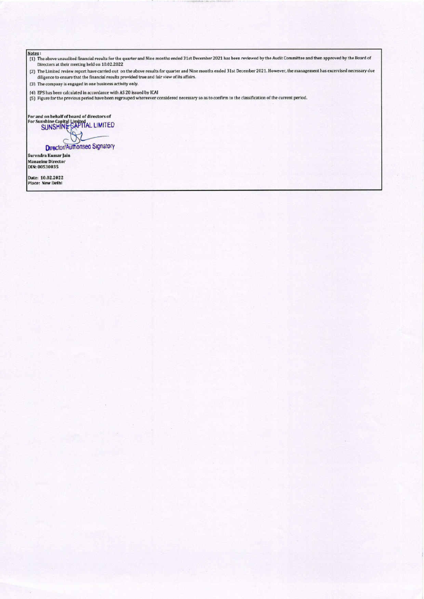Notes :<br>(1) The above unaudited financial results for the quarter and Nine months ended 31st December 2021 has been reviewed by the Audit Committee and then approved by the Board of Directors at their meeting held on 10.02.2022 Notes to<br>
(1) The above usualited filamical results for the quarter and Nise months ended 3 ist December 2021 has been reviewed by the Audit Committee and then approved by the Board of<br>
(2) The Linical results in a 10.02.2

(2) The Limited review report have carried out on the above results for quarter and Nine months ended 31st December 2021. However, the management has excercised necessary due diligence to ensure that the financial results provided true and fair view of its affairs.

(3) The company is engaged in one business activity only.

(4) EPS has been calculated in accordance with AS 20 issued by ICAI

(5) Figure for the previous period have been regrouped whereever considered necessary so as to confirm to the classification of the current period.

For and on behalf of board of directors of<br>For Sunshine Capital Limited<br>SUNSHINE-GAPTIAL LIMITED

**Director/Authonsed Signatory** 

 Managing Director DIN: 00530035 Surendra Kumar Jain

Date: 10.02.2022 Place: New Delhi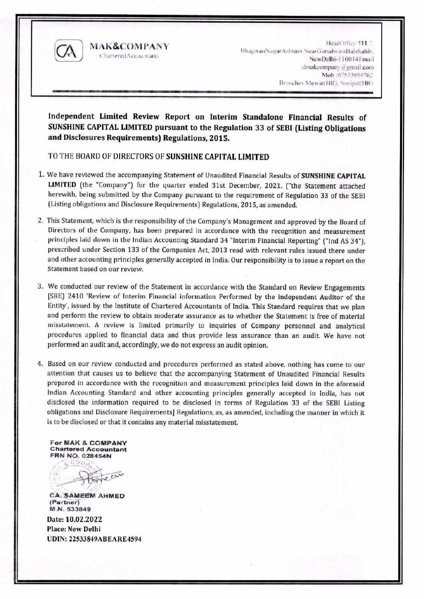

**MAK&COMPANY CharteredAccountants** 

HeadOffice:111 2 BhagwanNagarAshram.NearGurudwaraBalaSahib. NewDelhi-110014Email :dmakeompany@gmail.com Mob :07533054762 Branches: MewattHR), Sonipat(HR)

Independent Limited Review Report on Interim Standalone Financial Results of SUNSHINE CAPITAL LIMITED pursuant to the Regulation 33 of SEBI (Listing Obligations and Disclosures Requirements) Regulations, 2015.

### TO THE BOARD OF DIRECTORS OF SUNSHINE CAPITAL LIMITED

- 1. We have reviewed the accompanying Statement of Unaudited Financial Results of SUNSHINE CAPITAL LIMITED (the "Company") for the quarter ended 31st December, 2021. ("the Statement attached herewith, being submitted by the Company pursuant to the requirement of Regulation 33 of the SEBI (Listing obligations and Disclosure Requirements) Regulations, 2015, as amended.
- 2. This Statement, which is the responsibility of the Company's Management and approved by the Board of Directors of the Company, has been prepared in accordance with the recognition and measurement principles laid down in the Indian Accounting Standard 34 "Interim Financial Reporting" ("Ind AS 34"). prescribed under Section 133 of the Companies Act, 2013 read with relevant rules issued there under and other accounting principles generally accepted in India. Our responsibility is to issue a report on the Statement based on our review.
- 3. We conducted our review of the Statement in accordance with the Standard on Review Engagements [SRE] 2410 'Review of Interim Financial information Performed by the independent Auditor of the Entity', issued by the Institute of Chartered Accountants of India. This Standard requires that we plan and perform the review to obtain moderate assurance as to whether the Statement is free of material misstatement. A review is limited primarily to inquiries of Company personnel and analytical procedures applied to financial data and thus provide less assurance than an audit. We have not performed an audit and, accordingly, we do not express an audit opinion.
- 4. Based on our review conducted and procedures performed as stated above, nothing has come to our attention that causes us to believe that the accompanying Statement of Unaudited Financial Results prepared in accordance with the recognition and measurement principles laid down in the aforesaid Indian Accounting Standard and other accounting principles generally accepted in India, has not disclosed the information required to be disclosed in terms of Regulation 33 of the SEBI Listing obligations and Disclosure Requirements] Regulations, as, as amended, including the manner in which it is to be disclosed or that it contains any material misstatement.

For MAK & COMPANY **Chartered Accountant** FRN NO. 028454N

& COM  $P N$ 

**CA. SAMEEM AHMED** (Partner) M.N. 533849

Date: 10.02.2022 **Place: New Delhi** UDIN: 22533849ABEARE4594